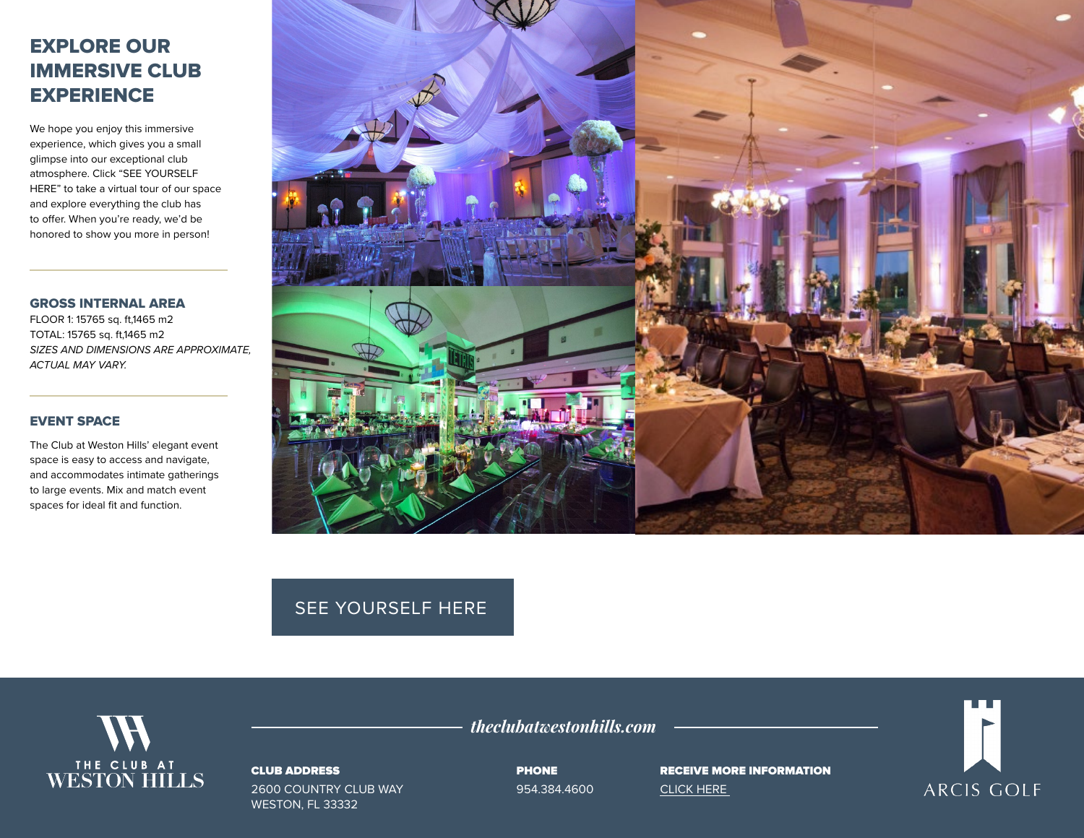# EXPLORE OUR IMMERSIVE CLUB **EXPERIENCE**

We hope you enjoy this immersive experience, which gives you a small glimpse into our exceptional club atmosphere. Click "SEE YOURSELF HERE" to take a virtual tour of our space and explore everything the club has to offer. When you're ready, we'd be honored to show you more in person!

#### GROSS INTERNAL AREA

FLOOR 1: 15765 sq. ft,1465 m2 TOTAL: 15765 sq. ft,1465 m2 *SIZES AND DIMENSIONS ARE APPROXIMATE, ACTUAL MAY VARY.*

## EVENT SPACE

The Club at Weston Hills' elegant event space is easy to access and navigate, and accommodates intimate gatherings to large events. Mix and match event spaces for ideal fit and function.



## [SEE YOURSELF HERE](https://visitingmedia.com/tt8/?ttid=weston-hills-country-club#/3d-model)



#### CLUB ADDRESS

2600 COUNTRY CLUB WAY WESTON, FL 33332

PHONE

*theclubatwestonhills.com*

954.384.4600

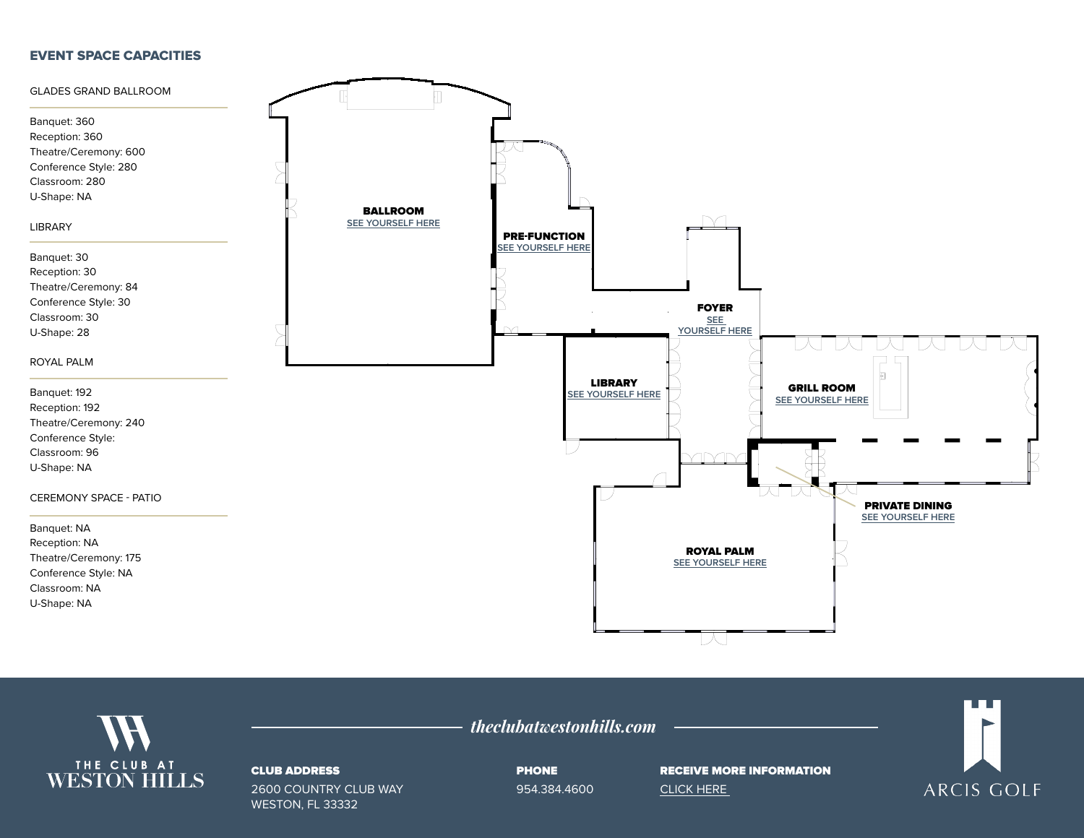### EVENT SPACE CAPACITIES





#### CLUB ADDRESS

2600 COUNTRY CLUB WAY WESTON, FL 33332

PHONE 954.384.4600

*theclubatwestonhills.com*

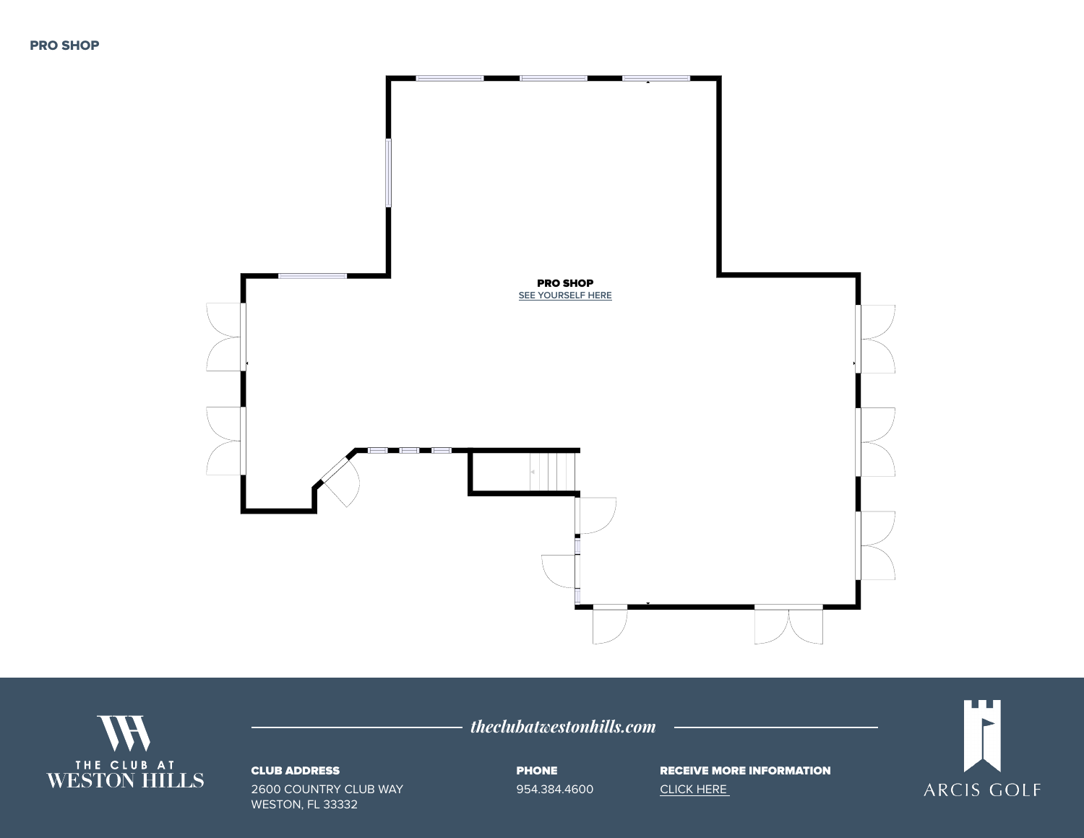



## CLUB ADDRESS

2600 COUNTRY CLUB WAY WESTON, FL 33332

*theclubatwestonhills.com*

PHONE 954.384.4600